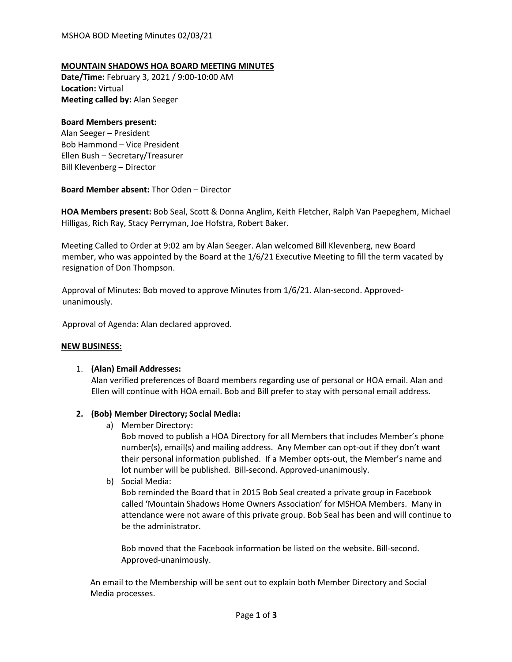# **MOUNTAIN SHADOWS HOA BOARD MEETING MINUTES**

**Date/Time:** February 3, 2021 / 9:00-10:00 AM **Location:** Virtual **Meeting called by:** Alan Seeger

# **Board Members present:**

Alan Seeger – President Bob Hammond – Vice President Ellen Bush – Secretary/Treasurer Bill Klevenberg – Director

**Board Member absent:** Thor Oden – Director

**HOA Members present:** Bob Seal, Scott & Donna Anglim, Keith Fletcher, Ralph Van Paepeghem, Michael Hilligas, Rich Ray, Stacy Perryman, Joe Hofstra, Robert Baker.

Meeting Called to Order at 9:02 am by Alan Seeger. Alan welcomed Bill Klevenberg, new Board member, who was appointed by the Board at the 1/6/21 Executive Meeting to fill the term vacated by resignation of Don Thompson.

Approval of Minutes: Bob moved to approve Minutes from 1/6/21. Alan-second. Approvedunanimously.

Approval of Agenda: Alan declared approved.

# **NEW BUSINESS:**

# 1. **(Alan) Email Addresses:**

Alan verified preferences of Board members regarding use of personal or HOA email. Alan and Ellen will continue with HOA email. Bob and Bill prefer to stay with personal email address.

# **2. (Bob) Member Directory; Social Media:**

a) Member Directory:

Bob moved to publish a HOA Directory for all Members that includes Member's phone number(s), email(s) and mailing address. Any Member can opt-out if they don't want their personal information published. If a Member opts-out, the Member's name and lot number will be published. Bill-second. Approved-unanimously.

b) Social Media:

Bob reminded the Board that in 2015 Bob Seal created a private group in Facebook called 'Mountain Shadows Home Owners Association' for MSHOA Members. Many in attendance were not aware of this private group. Bob Seal has been and will continue to be the administrator.

Bob moved that the Facebook information be listed on the website. Bill-second. Approved-unanimously.

An email to the Membership will be sent out to explain both Member Directory and Social Media processes.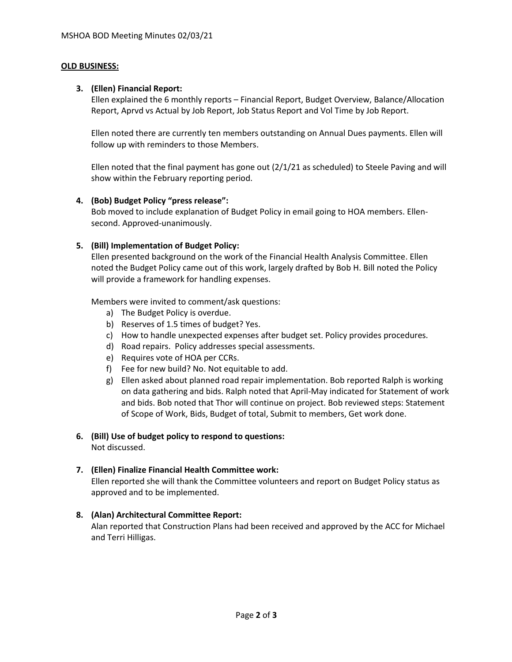#### **OLD BUSINESS:**

#### **3. (Ellen) Financial Report:**

Ellen explained the 6 monthly reports – Financial Report, Budget Overview, Balance/Allocation Report, Aprvd vs Actual by Job Report, Job Status Report and Vol Time by Job Report.

Ellen noted there are currently ten members outstanding on Annual Dues payments. Ellen will follow up with reminders to those Members.

Ellen noted that the final payment has gone out (2/1/21 as scheduled) to Steele Paving and will show within the February reporting period.

# **4. (Bob) Budget Policy "press release":**

Bob moved to include explanation of Budget Policy in email going to HOA members. Ellensecond. Approved-unanimously.

# **5. (Bill) Implementation of Budget Policy:**

Ellen presented background on the work of the Financial Health Analysis Committee. Ellen noted the Budget Policy came out of this work, largely drafted by Bob H. Bill noted the Policy will provide a framework for handling expenses.

Members were invited to comment/ask questions:

- a) The Budget Policy is overdue.
- b) Reserves of 1.5 times of budget? Yes.
- c) How to handle unexpected expenses after budget set. Policy provides procedures.
- d) Road repairs. Policy addresses special assessments.
- e) Requires vote of HOA per CCRs.
- f) Fee for new build? No. Not equitable to add.
- g) Ellen asked about planned road repair implementation. Bob reported Ralph is working on data gathering and bids. Ralph noted that April-May indicated for Statement of work and bids. Bob noted that Thor will continue on project. Bob reviewed steps: Statement of Scope of Work, Bids, Budget of total, Submit to members, Get work done.

# **6. (Bill) Use of budget policy to respond to questions:**

Not discussed.

# **7. (Ellen) Finalize Financial Health Committee work:**

Ellen reported she will thank the Committee volunteers and report on Budget Policy status as approved and to be implemented.

# **8. (Alan) Architectural Committee Report:**

Alan reported that Construction Plans had been received and approved by the ACC for Michael and Terri Hilligas.